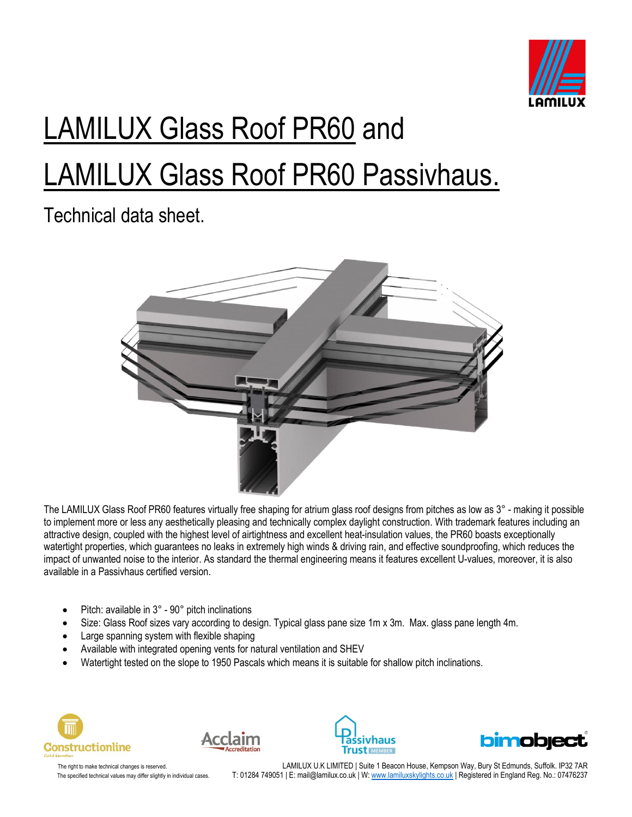

# LAMILUX Glass Roof PR60 and LAMILUX Glass Roof PR60 Passivhaus.

Technical data sheet.



The LAMILUX Glass Roof PR60 features virtually free shaping for atrium glass roof designs from pitches as low as 3° - making it possible to implement more or less any aesthetically pleasing and technically complex daylight construction. With trademark features including an attractive design, coupled with the highest level of airtightness and excellent heat-insulation values, the PR60 boasts exceptionally watertight properties, which guarantees no leaks in extremely high winds & driving rain, and effective soundproofing, which reduces the impact of unwanted noise to the interior. As standard the thermal engineering means it features excellent U-values, moreover, it is also available in a Passivhaus certified version.

- Pitch: available in 3° 90° pitch inclinations
- Size: Glass Roof sizes vary according to design. Typical glass pane size 1m x 3m. Max. glass pane length 4m.
- Large spanning system with flexible shaping
- Available with integrated opening vents for natural ventilation and SHEV
- Watertight tested on the slope to 1950 Pascals which means it is suitable for shallow pitch inclinations.









The right to make technical changes is reserved. LAMILUX U.K LIMITED | Suite 1 Beacon House, Kempson Way, Bury St Edmunds, Suffolk. IP32 7AR The specified technical values may differ slightly in individual cases. T: 01284 749051 | E: mail@lamilux.co.uk | W[: www.lamiluxskylights.co.uk](http://www.lamiluxskylights.co.uk/) | Registered in England Reg. No.: 07476237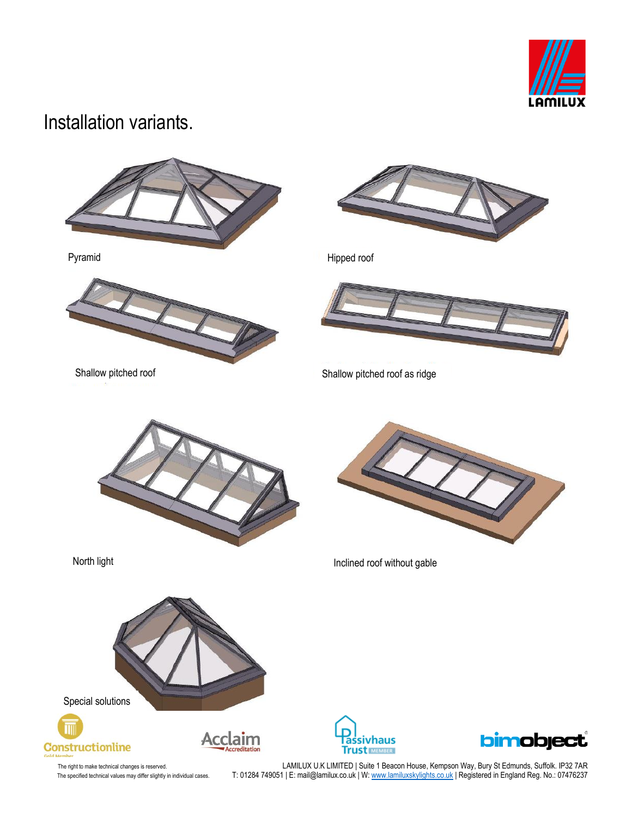

#### Installation variants.







Pyramid Hipped roof



Shallow pitched roof Shallow pitched roof as ridge





North light Inclined roof without gable







The right to make technical changes is reserved. LAMILUX U.K LIMITED | Suite 1 Beacon House, Kempson Way, Bury St Edmunds, Suffolk. IP32 7AR The specified technical values may differ slightly in individual cases. T: 01284 749051 | E: mail@lamilux.co.uk | W: <u>www.lamiluxskylights.co.uk</u> | Registered in England Reg. No.: 07476237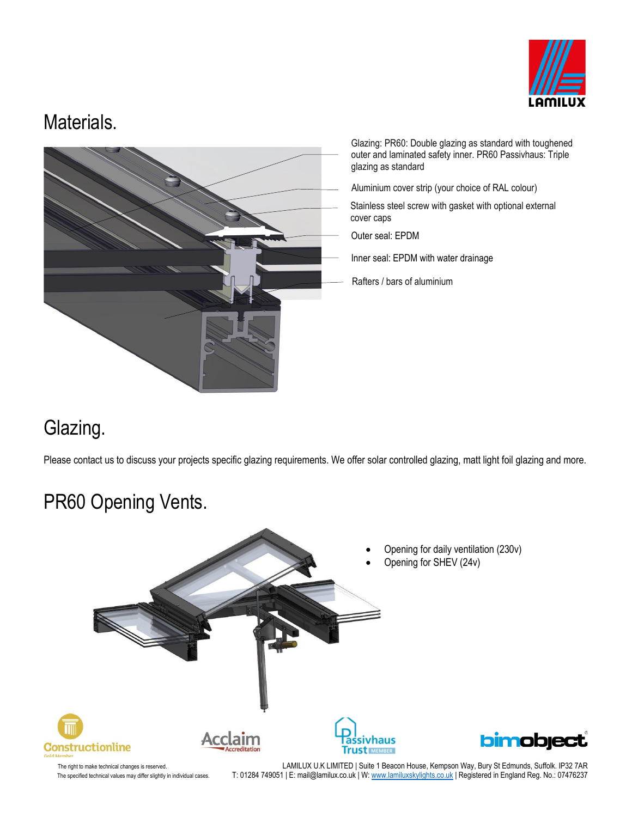

#### Materials.



Glazing: PR60: Double glazing as standard with toughened outer and laminated safety inner. PR60 Passivhaus: Triple glazing as standard

Aluminium cover strip (your choice of RAL colour)

Stainless steel screw with gasket with optional external cover caps

Outer seal: EPDM

Inner seal: EPDM with water drainage

Rafters / bars of aluminium

## Glazing.

Please contact us to discuss your projects specific glazing requirements. We offer solar controlled glazing, matt light foil glazing and more.

# PR60 Opening Vents.



The right to make technical changes is reserved. LAMILUX U.K LIMITED | Suite 1 Beacon House, Kempson Way, Bury St Edmunds, Suffolk. IP32 7AR The specified technical values may differ slightly in individual cases. T: 01284 749051 | E: mail@lamilux.co.uk | W[: www.lamiluxskylights.co.uk](http://www.lamiluxskylights.co.uk/) | Registered in England Reg. No.: 07476237